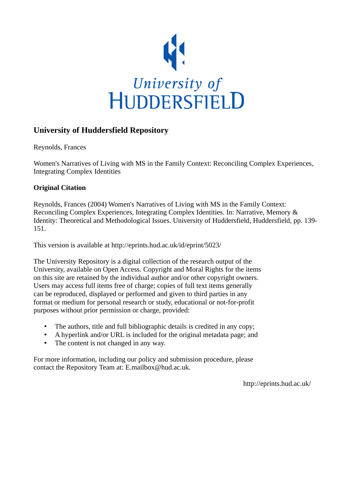

# **University of Huddersfield Repository**

Reynolds, Frances

Women's Narratives of Living with MS in the Family Context: Reconciling Complex Experiences, Integrating Complex Identities

# **Original Citation**

Reynolds, Frances (2004) Women's Narratives of Living with MS in the Family Context: Reconciling Complex Experiences, Integrating Complex Identities. In: Narrative, Memory & Identity: Theoretical and Methodological Issues. University of Huddersfield, Huddersfield, pp. 139- 151.

This version is available at http://eprints.hud.ac.uk/id/eprint/5023/

The University Repository is a digital collection of the research output of the University, available on Open Access. Copyright and Moral Rights for the items on this site are retained by the individual author and/or other copyright owners. Users may access full items free of charge; copies of full text items generally can be reproduced, displayed or performed and given to third parties in any format or medium for personal research or study, educational or not-for-profit purposes without prior permission or charge, provided:

- The authors, title and full bibliographic details is credited in any copy;
- A hyperlink and/or URL is included for the original metadata page; and
- The content is not changed in any way.

For more information, including our policy and submission procedure, please contact the Repository Team at: E.mailbox@hud.ac.uk.

http://eprints.hud.ac.uk/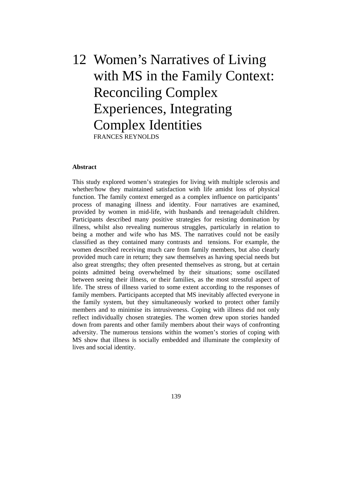# 12 Women's Narratives of Living with MS in the Family Context: Reconciling Complex Experiences, Integrating Complex Identities FRANCES REYNOLDS

# **Abstract**

This study explored women's strategies for living with multiple sclerosis and whether/how they maintained satisfaction with life amidst loss of physical function. The family context emerged as a complex influence on participants' process of managing illness and identity. Four narratives are examined, provided by women in mid-life, with husbands and teenage/adult children. Participants described many positive strategies for resisting domination by illness, whilst also revealing numerous struggles, particularly in relation to being a mother and wife who has MS. The narratives could not be easily classified as they contained many contrasts and tensions. For example, the women described receiving much care from family members, but also clearly provided much care in return; they saw themselves as having special needs but also great strengths; they often presented themselves as strong, but at certain points admitted being overwhelmed by their situations; some oscillated between seeing their illness, or their families, as the most stressful aspect of life. The stress of illness varied to some extent according to the responses of family members. Participants accepted that MS inevitably affected everyone in the family system, but they simultaneously worked to protect other family members and to minimise its intrusiveness. Coping with illness did not only reflect individually chosen strategies. The women drew upon stories handed down from parents and other family members about their ways of confronting adversity. The numerous tensions within the women's stories of coping with MS show that illness is socially embedded and illuminate the complexity of lives and social identity.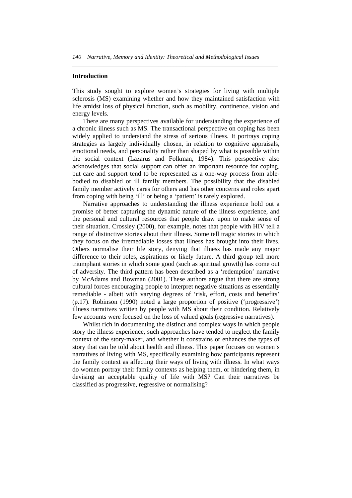#### **Introduction**

This study sought to explore women's strategies for living with multiple sclerosis (MS) examining whether and how they maintained satisfaction with life amidst loss of physical function, such as mobility, continence, vision and energy levels.

*\_\_\_\_\_\_\_\_\_\_\_\_\_\_\_\_\_\_\_\_\_\_\_\_\_\_\_\_\_\_\_\_\_\_\_\_\_\_\_\_\_\_\_\_\_\_\_\_\_\_\_\_\_\_\_\_\_\_\_\_\_\_\_\_\_\_\_\_\_* 

 There are many perspectives available for understanding the experience of a chronic illness such as MS. The transactional perspective on coping has been widely applied to understand the stress of serious illness. It portrays coping strategies as largely individually chosen, in relation to cognitive appraisals, emotional needs, and personality rather than shaped by what is possible within the social context (Lazarus and Folkman, 1984). This perspective also acknowledges that social support can offer an important resource for coping, but care and support tend to be represented as a one-way process from ablebodied to disabled or ill family members. The possibility that the disabled family member actively cares for others and has other concerns and roles apart from coping with being 'ill' or being a 'patient' is rarely explored.

 Narrative approaches to understanding the illness experience hold out a promise of better capturing the dynamic nature of the illness experience, and the personal and cultural resources that people draw upon to make sense of their situation. Crossley (2000), for example, notes that people with HIV tell a range of distinctive stories about their illness. Some tell tragic stories in which they focus on the irremediable losses that illness has brought into their lives. Others normalise their life story, denying that illness has made any major difference to their roles, aspirations or likely future. A third group tell more triumphant stories in which some good (such as spiritual growth) has come out of adversity. The third pattern has been described as a 'redemption' narrative by McAdams and Bowman (2001). These authors argue that there are strong cultural forces encouraging people to interpret negative situations as essentially remediable - albeit with varying degrees of 'risk, effort, costs and benefits' (p.17). Robinson (1990) noted a large proportion of positive ('progressive') illness narratives written by people with MS about their condition. Relatively few accounts were focused on the loss of valued goals (regressive narratives).

 Whilst rich in documenting the distinct and complex ways in which people story the illness experience, such approaches have tended to neglect the family context of the story-maker, and whether it constrains or enhances the types of story that can be told about health and illness. This paper focuses on women's narratives of living with MS, specifically examining how participants represent the family context as affecting their ways of living with illness. In what ways do women portray their family contexts as helping them, or hindering them, in devising an acceptable quality of life with MS? Can their narratives be classified as progressive, regressive or normalising?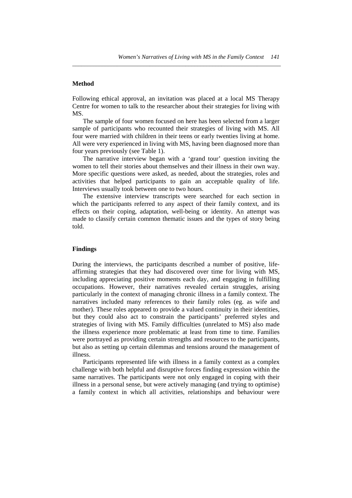# **Method**

Following ethical approval, an invitation was placed at a local MS Therapy Centre for women to talk to the researcher about their strategies for living with MS.

*\_\_\_\_\_\_\_\_\_\_\_\_\_\_\_\_\_\_\_\_\_\_\_\_\_\_\_\_\_\_\_\_\_\_\_\_\_\_\_\_\_\_\_\_\_\_\_\_\_\_\_\_\_\_\_\_\_\_\_\_\_\_\_\_\_\_\_\_\_\_* 

 The sample of four women focused on here has been selected from a larger sample of participants who recounted their strategies of living with MS. All four were married with children in their teens or early twenties living at home. All were very experienced in living with MS, having been diagnosed more than four years previously (see Table 1).

 The narrative interview began with a 'grand tour' question inviting the women to tell their stories about themselves and their illness in their own way. More specific questions were asked, as needed, about the strategies, roles and activities that helped participants to gain an acceptable quality of life. Interviews usually took between one to two hours.

 The extensive interview transcripts were searched for each section in which the participants referred to any aspect of their family context, and its effects on their coping, adaptation, well-being or identity. An attempt was made to classify certain common thematic issues and the types of story being told.

## **Findings**

During the interviews, the participants described a number of positive, lifeaffirming strategies that they had discovered over time for living with MS, including appreciating positive moments each day, and engaging in fulfilling occupations. However, their narratives revealed certain struggles, arising particularly in the context of managing chronic illness in a family context. The narratives included many references to their family roles (eg. as wife and mother). These roles appeared to provide a valued continuity in their identities, but they could also act to constrain the participants' preferred styles and strategies of living with MS. Family difficulties (unrelated to MS) also made the illness experience more problematic at least from time to time. Families were portrayed as providing certain strengths and resources to the participants, but also as setting up certain dilemmas and tensions around the management of illness.

 Participants represented life with illness in a family context as a complex challenge with both helpful and disruptive forces finding expression within the same narratives. The participants were not only engaged in coping with their illness in a personal sense, but were actively managing (and trying to optimise) a family context in which all activities, relationships and behaviour were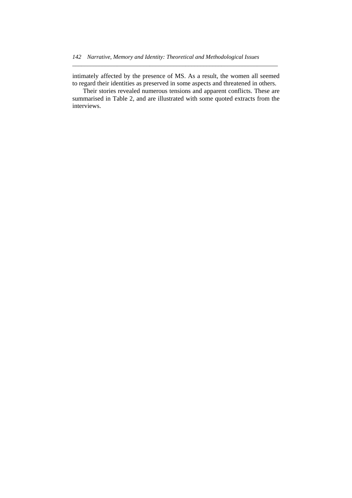intimately affected by the presence of MS. As a result, the women all seemed to regard their identities as preserved in some aspects and threatened in others.

*\_\_\_\_\_\_\_\_\_\_\_\_\_\_\_\_\_\_\_\_\_\_\_\_\_\_\_\_\_\_\_\_\_\_\_\_\_\_\_\_\_\_\_\_\_\_\_\_\_\_\_\_\_\_\_\_\_\_\_\_\_\_\_\_\_\_\_\_\_* 

 Their stories revealed numerous tensions and apparent conflicts. These are summarised in Table 2, and are illustrated with some quoted extracts from the interviews.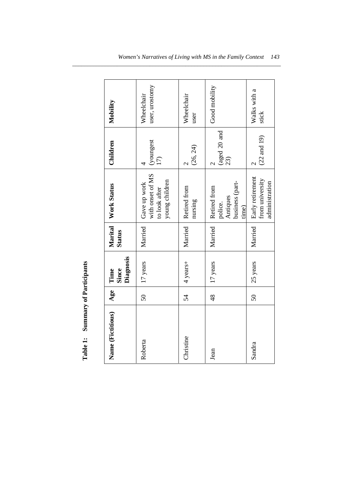| Name (Fictitious) | Age             | Diagnosis<br>Time<br>Since | Marital<br><b>Status</b> | <b>Work Status</b>                                                        | Children                                   | Mobility                     |
|-------------------|-----------------|----------------------------|--------------------------|---------------------------------------------------------------------------|--------------------------------------------|------------------------------|
| Roberta           | 50              | 17 years                   | Married                  | with onset of MS<br>young children<br>Gave up work<br>to look after       | (youngest<br>17)                           | user, urostomy<br>Wheelchair |
| Christine         | 54              | 4 years+                   |                          | Married   Retired from<br>nursing                                         | (26, 24)<br>$\mathbf{\sim}$                | Wheelchair<br>user           |
| Jean              | $\frac{48}{5}$  | 17 years                   |                          | business (part-<br>Married   Retired from<br>Antiques<br>police.<br>time) | (aged 20 and<br>23)<br>$\mathrel{\sim}$    | Good mobility                |
| Sandra            | $\overline{50}$ | 25 years                   |                          | Married Early retirement<br>from university<br>administration             | $(22 \text{ and } 19)$<br>$\mathrel{\sim}$ | Walks with a<br>stick        |

Table 1: Summary of Participants **Table 1: Summary of Participants**

*\_\_\_\_\_\_\_\_\_\_\_\_\_\_\_\_\_\_\_\_\_\_\_\_\_\_\_\_\_\_\_\_\_\_\_\_\_\_\_\_\_\_\_\_\_\_\_\_\_\_\_\_\_\_\_\_\_\_\_\_\_\_\_\_\_\_\_\_\_\_*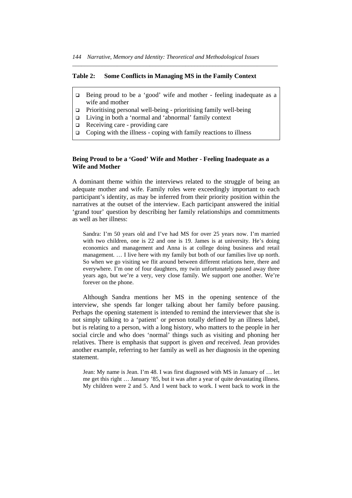## **Table 2: Some Conflicts in Managing MS in the Family Context**

 Being proud to be a 'good' wife and mother - feeling inadequate as a wife and mother

*\_\_\_\_\_\_\_\_\_\_\_\_\_\_\_\_\_\_\_\_\_\_\_\_\_\_\_\_\_\_\_\_\_\_\_\_\_\_\_\_\_\_\_\_\_\_\_\_\_\_\_\_\_\_\_\_\_\_\_\_\_\_\_\_\_\_\_\_\_* 

- Prioritising personal well-being prioritising family well-being
- Living in both a 'normal and 'abnormal' family context
- Receiving care providing care
- $\Box$  Coping with the illness coping with family reactions to illness

# **Being Proud to be a 'Good' Wife and Mother - Feeling Inadequate as a Wife and Mother**

A dominant theme within the interviews related to the struggle of being an adequate mother and wife. Family roles were exceedingly important to each participant's identity, as may be inferred from their priority position within the narratives at the outset of the interview. Each participant answered the initial 'grand tour' question by describing her family relationships and commitments as well as her illness:

Sandra: I'm 50 years old and I've had MS for over 25 years now. I'm married with two children, one is 22 and one is 19. James is at university. He's doing economics and management and Anna is at college doing business and retail management. … I live here with my family but both of our families live up north. So when we go visiting we flit around between different relations here, there and everywhere. I'm one of four daughters, my twin unfortunately passed away three years ago, but we're a very, very close family. We support one another. We're forever on the phone.

 Although Sandra mentions her MS in the opening sentence of the interview, she spends far longer talking about her family before pausing. Perhaps the opening statement is intended to remind the interviewer that she is not simply talking to a 'patient' or person totally defined by an illness label, but is relating to a person, with a long history, who matters to the people in her social circle and who does 'normal' things such as visiting and phoning her relatives. There is emphasis that support is given *and* received. Jean provides another example, referring to her family as well as her diagnosis in the opening statement.

Jean: My name is Jean. I'm 48. I was first diagnosed with MS in January of … let me get this right … January '85, but it was after a year of quite devastating illness. My children were 2 and 5. And I went back to work. I went back to work in the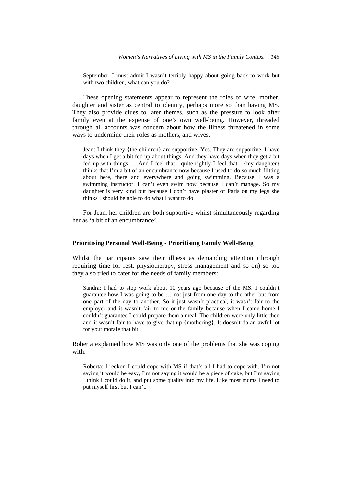September. I must admit I wasn't terribly happy about going back to work but with two children, what can you do?

*\_\_\_\_\_\_\_\_\_\_\_\_\_\_\_\_\_\_\_\_\_\_\_\_\_\_\_\_\_\_\_\_\_\_\_\_\_\_\_\_\_\_\_\_\_\_\_\_\_\_\_\_\_\_\_\_\_\_\_\_\_\_\_\_\_\_\_\_\_\_* 

 These opening statements appear to represent the roles of wife, mother, daughter and sister as central to identity, perhaps more so than having MS. They also provide clues to later themes, such as the pressure to look after family even at the expense of one's own well-being. However, threaded through all accounts was concern about how the illness threatened in some ways to undermine their roles as mothers, and wives.

Jean: I think they {the children} are supportive. Yes. They are supportive. I have days when I get a bit fed up about things. And they have days when they get a bit fed up with things … And I feel that - quite rightly I feel that - {my daughter} thinks that I'm a bit of an encumbrance now because I used to do so much flitting about here, there and everywhere and going swimming. Because I was a swimming instructor, I can't even swim now because I can't manage. So my daughter is very kind but because I don't have plaster of Paris on my legs she thinks I should be able to do what I want to do.

 For Jean, her children are both supportive whilst simultaneously regarding her as 'a bit of an encumbrance'.

# **Prioritising Personal Well-Being - Prioritising Family Well-Being**

Whilst the participants saw their illness as demanding attention (through requiring time for rest, physiotherapy, stress management and so on) so too they also tried to cater for the needs of family members:

Sandra: I had to stop work about 10 years ago because of the MS, I couldn't guarantee how I was going to be … not just from one day to the other but from one part of the day to another. So it just wasn't practical, it wasn't fair to the employer and it wasn't fair to me or the family because when I came home I couldn't guarantee I could prepare them a meal. The children were only little then and it wasn't fair to have to give that up {mothering}. It doesn't do an awful lot for your morale that bit.

Roberta explained how MS was only one of the problems that she was coping with:

Roberta: I reckon I could cope with MS if that's all I had to cope with. I'm not saying it would be easy, I'm not saying it would be a piece of cake, but I'm saying I think I could do it, and put some quality into my life. Like most mums I need to put myself first but I can't.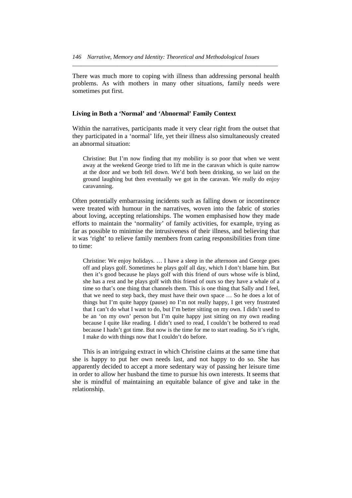There was much more to coping with illness than addressing personal health problems. As with mothers in many other situations, family needs were sometimes put first.

*\_\_\_\_\_\_\_\_\_\_\_\_\_\_\_\_\_\_\_\_\_\_\_\_\_\_\_\_\_\_\_\_\_\_\_\_\_\_\_\_\_\_\_\_\_\_\_\_\_\_\_\_\_\_\_\_\_\_\_\_\_\_\_\_\_\_\_\_\_* 

# **Living in Both a 'Normal' and 'Abnormal' Family Context**

Within the narratives, participants made it very clear right from the outset that they participated in a 'normal' life, yet their illness also simultaneously created an abnormal situation:

Christine: But I'm now finding that my mobility is so poor that when we went away at the weekend George tried to lift me in the caravan which is quite narrow at the door and we both fell down. We'd both been drinking, so we laid on the ground laughing but then eventually we got in the caravan. We really do enjoy caravanning.

Often potentially embarrassing incidents such as falling down or incontinence were treated with humour in the narratives, woven into the fabric of stories about loving, accepting relationships. The women emphasised how they made efforts to maintain the 'normality' of family activities, for example, trying as far as possible to minimise the intrusiveness of their illness, and believing that it was 'right' to relieve family members from caring responsibilities from time to time:

Christine: We enjoy holidays. … I have a sleep in the afternoon and George goes off and plays golf. Sometimes he plays golf all day, which I don't blame him. But then it's good because he plays golf with this friend of ours whose wife is blind, she has a rest and he plays golf with this friend of ours so they have a whale of a time so that's one thing that channels them. This is one thing that Sally and I feel, that we need to step back, they must have their own space … So he does a lot of things but I'm quite happy (pause) no I'm not really happy, I get very frustrated that I can't do what I want to do, but I'm better sitting on my own. I didn't used to be an 'on my own' person but I'm quite happy just sitting on my own reading because I quite like reading. I didn't used to read, I couldn't be bothered to read because I hadn't got time. But now is the time for me to start reading. So it's right, I make do with things now that I couldn't do before.

 This is an intriguing extract in which Christine claims at the same time that she is happy to put her own needs last, and not happy to do so. She has apparently decided to accept a more sedentary way of passing her leisure time in order to allow her husband the time to pursue his own interests. It seems that she is mindful of maintaining an equitable balance of give and take in the relationship.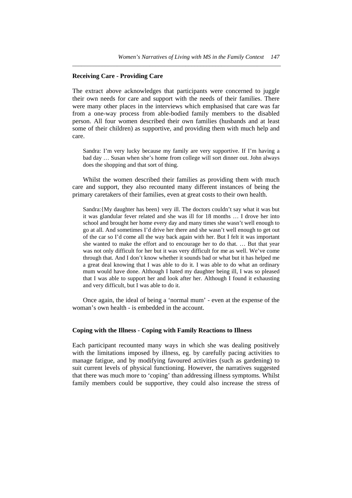## **Receiving Care - Providing Care**

The extract above acknowledges that participants were concerned to juggle their own needs for care and support with the needs of their families. There were many other places in the interviews which emphasised that care was far from a one-way process from able-bodied family members to the disabled person. All four women described their own families (husbands and at least some of their children) as supportive, and providing them with much help and care.

*\_\_\_\_\_\_\_\_\_\_\_\_\_\_\_\_\_\_\_\_\_\_\_\_\_\_\_\_\_\_\_\_\_\_\_\_\_\_\_\_\_\_\_\_\_\_\_\_\_\_\_\_\_\_\_\_\_\_\_\_\_\_\_\_\_\_\_\_\_\_* 

Sandra: I'm very lucky because my family are very supportive. If I'm having a bad day … Susan when she's home from college will sort dinner out. John always does the shopping and that sort of thing.

 Whilst the women described their families as providing them with much care and support, they also recounted many different instances of being the primary caretakers of their families, even at great costs to their own health.

Sandra:{My daughter has been} very ill. The doctors couldn't say what it was but it was glandular fever related and she was ill for 18 months … I drove her into school and brought her home every day and many times she wasn't well enough to go at all. And sometimes I'd drive her there and she wasn't well enough to get out of the car so I'd come all the way back again with her. But I felt it was important she wanted to make the effort and to encourage her to do that. … But that year was not only difficult for her but it was very difficult for me as well. We've come through that. And I don't know whether it sounds bad or what but it has helped me a great deal knowing that I was able to do it. I was able to do what an ordinary mum would have done. Although I hated my daughter being ill, I was so pleased that I was able to support her and look after her. Although I found it exhausting and very difficult, but I was able to do it.

 Once again, the ideal of being a 'normal mum' - even at the expense of the woman's own health - is embedded in the account.

#### **Coping with the Illness - Coping with Family Reactions to Illness**

Each participant recounted many ways in which she was dealing positively with the limitations imposed by illness, eg. by carefully pacing activities to manage fatigue, and by modifying favoured activities (such as gardening) to suit current levels of physical functioning. However, the narratives suggested that there was much more to 'coping' than addressing illness symptoms. Whilst family members could be supportive, they could also increase the stress of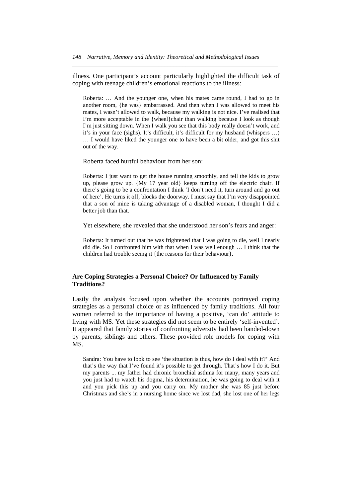illness. One participant's account particularly highlighted the difficult task of coping with teenage children's emotional reactions to the illness:

*\_\_\_\_\_\_\_\_\_\_\_\_\_\_\_\_\_\_\_\_\_\_\_\_\_\_\_\_\_\_\_\_\_\_\_\_\_\_\_\_\_\_\_\_\_\_\_\_\_\_\_\_\_\_\_\_\_\_\_\_\_\_\_\_\_\_\_\_\_* 

Roberta: … And the younger one, when his mates came round, I had to go in another room, {he was} embarrassed. And then when I was allowed to meet his mates, I wasn't allowed to walk, because my walking is not nice. I've realised that I'm more acceptable in the {wheel}chair than walking because I look as though I'm just sitting down. When I walk you see that this body really doesn't work, and it's in your face (sighs). It's difficult, it's difficult for my husband (whispers …) … I would have liked the younger one to have been a bit older, and got this shit out of the way.

Roberta faced hurtful behaviour from her son:

Roberta: I just want to get the house running smoothly, and tell the kids to grow up, please grow up. {My 17 year old} keeps turning off the electric chair. If there's going to be a confrontation I think 'I don't need it, turn around and go out of here'. He turns it off, blocks the doorway. I must say that I'm very disappointed that a son of mine is taking advantage of a disabled woman, I thought I did a better job than that.

Yet elsewhere, she revealed that she understood her son's fears and anger:

Roberta: It turned out that he was frightened that I was going to die, well I nearly did die. So I confronted him with that when I was well enough … I think that the children had trouble seeing it {the reasons for their behaviour}.

# **Are Coping Strategies a Personal Choice? Or Influenced by Family Traditions?**

Lastly the analysis focused upon whether the accounts portrayed coping strategies as a personal choice or as influenced by family traditions. All four women referred to the importance of having a positive, 'can do' attitude to living with MS. Yet these strategies did not seem to be entirely 'self-invented'. It appeared that family stories of confronting adversity had been handed-down by parents, siblings and others. These provided role models for coping with MS.

Sandra: You have to look to see 'the situation is thus, how do I deal with it?' And that's the way that I've found it's possible to get through. That's how I do it. But my parents ... my father had chronic bronchial asthma for many, many years and you just had to watch his dogma, his determination, he was going to deal with it and you pick this up and you carry on. My mother she was 85 just before Christmas and she's in a nursing home since we lost dad, she lost one of her legs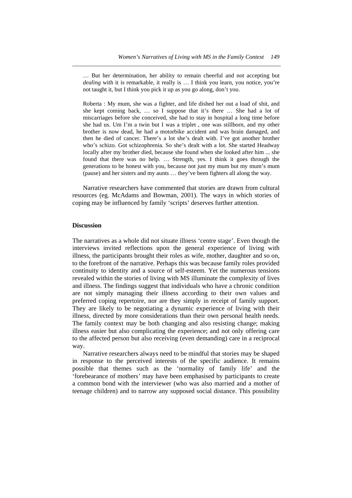… But her determination, her ability to remain cheerful and not accepting but *dealing* with it is remarkable, it really is … I think you learn, you notice, you're not taught it, but I think you pick it up as you go along, don't you.

*\_\_\_\_\_\_\_\_\_\_\_\_\_\_\_\_\_\_\_\_\_\_\_\_\_\_\_\_\_\_\_\_\_\_\_\_\_\_\_\_\_\_\_\_\_\_\_\_\_\_\_\_\_\_\_\_\_\_\_\_\_\_\_\_\_\_\_\_\_\_* 

Roberta : My mum, she was a fighter, and life dished her out a load of shit, and she kept coming back, … so I suppose that it's there … She had a lot of miscarriages before she conceived, she had to stay in hospital a long time before she had us. Um I'm a twin but I was a triplet , one was stillborn, and my other brother is now dead, he had a motorbike accident and was brain damaged, and then he died of cancer. There's a lot she's dealt with. I've got another brother who's schizo. Got schizophrenia. So she's dealt with a lot. She started Headway locally after my brother died, because she found when she looked after him ... she found that there was no help. … Strength, yes. I think it goes through the generations to be honest with you, because not just my mum but my mum's mum (pause) and her sisters and my aunts … they've been fighters all along the way.

 Narrative researchers have commented that stories are drawn from cultural resources (eg. McAdams and Bowman, 2001). The ways in which stories of coping may be influenced by family 'scripts' deserves further attention.

#### **Discussion**

The narratives as a whole did not situate illness 'centre stage'. Even though the interviews invited reflections upon the general experience of living with illness, the participants brought their roles as wife, mother, daughter and so on, to the forefront of the narrative. Perhaps this was because family roles provided continuity to identity and a source of self-esteem. Yet the numerous tensions revealed within the stories of living with MS illuminate the complexity of lives and illness. The findings suggest that individuals who have a chronic condition are not simply managing their illness according to their own values and preferred coping repertoire, nor are they simply in receipt of family support. They are likely to be negotiating a dynamic experience of living with their illness, directed by more considerations than their own personal health needs. The family context may be both changing and also resisting change; making illness easier but also complicating the experience; and not only offering care to the affected person but also receiving (even demanding) care in a reciprocal way.

 Narrative researchers always need to be mindful that stories may be shaped in response to the perceived interests of the specific audience. It remains possible that themes such as the 'normality of family life' and the 'forebearance of mothers' may have been emphasised by participants to create a common bond with the interviewer (who was also married and a mother of teenage children) and to narrow any supposed social distance. This possibility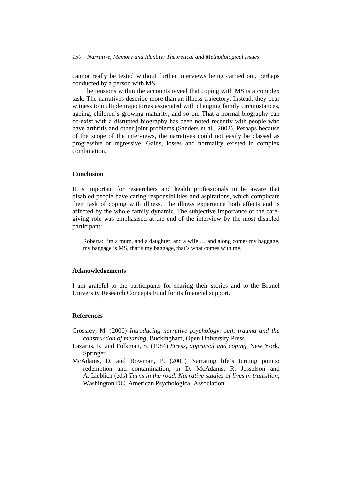cannot really be tested without further interviews being carried out, perhaps conducted by a person with MS.

*\_\_\_\_\_\_\_\_\_\_\_\_\_\_\_\_\_\_\_\_\_\_\_\_\_\_\_\_\_\_\_\_\_\_\_\_\_\_\_\_\_\_\_\_\_\_\_\_\_\_\_\_\_\_\_\_\_\_\_\_\_\_\_\_\_\_\_\_\_* 

 The tensions within the accounts reveal that coping with MS is a complex task. The narratives describe more than an illness trajectory. Instead, they bear witness to multiple trajectories associated with changing family circumstances, ageing, children's growing maturity, and so on. That a normal biography can co-exist with a disrupted biography has been noted recently with people who have arthritis and other joint problems (Sanders et al., 2002). Perhaps because of the scope of the interviews, the narratives could not easily be classed as progressive or regressive. Gains, losses and normality existed in complex combination.

#### **Conclusion**

It is important for researchers and health professionals to be aware that disabled people have caring responsibilities and aspirations, which complicate their task of coping with illness. The illness experience both affects and is affected by the whole family dynamic. The subjective importance of the caregiving role was emphasised at the end of the interview by the most disabled participant:

Roberta: I'm a mum, and a daughter, and a wife … and along comes my baggage, my baggage is MS, that's my baggage, that's what comes with me.

#### **Acknowledgements**

I am grateful to the participants for sharing their stories and to the Brunel University Research Concepts Fund for its financial support.

#### **References**

- Crossley, M. (2000) *Introducing narrative psychology: self, trauma and the construction of meaning*, Buckingham, Open University Press.
- Lazarus, R. and Folkman, S. (1984) *Stress, appraisal and coping*, New York, Springer.
- McAdams, D. and Bowman, P. (2001) Narrating life's turning points: redemption and contamination, in D. McAdams, R. Josselson and A. Lieblich (eds) *Turns in the road: Narrative studies of lives in transition*, Washington DC, American Psychological Association.